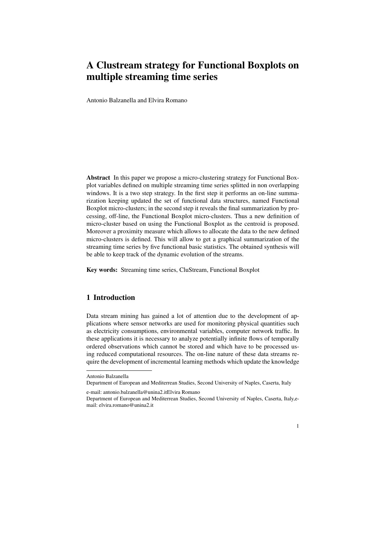# A Clustream strategy for Functional Boxplots on multiple streaming time series

Antonio Balzanella and Elvira Romano

Abstract In this paper we propose a micro-clustering strategy for Functional Boxplot variables defined on multiple streaming time series splitted in non overlapping windows. It is a two step strategy. In the first step it performs an on-line summarization keeping updated the set of functional data structures, named Functional Boxplot micro-clusters; in the second step it reveals the final summarization by processing, off-line, the Functional Boxplot micro-clusters. Thus a new definition of micro-cluster based on using the Functional Boxplot as the centroid is proposed. Moreover a proximity measure which allows to allocate the data to the new defined micro-clusters is defined. This will allow to get a graphical summarization of the streaming time series by five functional basic statistics. The obtained synthesis will be able to keep track of the dynamic evolution of the streams.

Key words: Streaming time series, CluStream, Functional Boxplot

## 1 Introduction

Data stream mining has gained a lot of attention due to the development of applications where sensor networks are used for monitoring physical quantities such as electricity consumptions, environmental variables, computer network traffic. In these applications it is necessary to analyze potentially infinite flows of temporally ordered observations which cannot be stored and which have to be processed using reduced computational resources. The on-line nature of these data streams require the development of incremental learning methods which update the knowledge

e-mail: antonio.balzanella@unina2.itElvira Romano

Department of European and Mediterrean Studies, Second University of Naples, Caserta, Italy,email: elvira.romano@unina2.it



Antonio Balzanella

Department of European and Mediterrean Studies, Second University of Naples, Caserta, Italy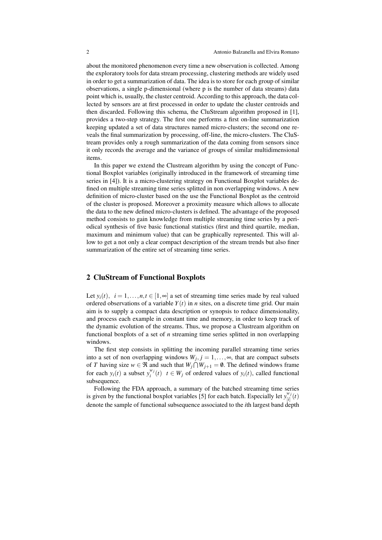about the monitored phenomenon every time a new observation is collected. Among the exploratory tools for data stream processing, clustering methods are widely used in order to get a summarization of data. The idea is to store for each group of similar observations, a single p-dimensional (where p is the number of data streams) data point which is, usually, the cluster centroid. According to this approach, the data collected by sensors are at first processed in order to update the cluster centroids and then discarded. Following this schema, the CluStream algorithm proposed in [1], provides a two-step strategy. The first one performs a first on-line summarization keeping updated a set of data structures named micro-clusters; the second one reveals the final summarization by processing, off-line, the micro-clusters. The CluStream provides only a rough summarization of the data coming from sensors since it only records the average and the variance of groups of similar multidimensional items.

In this paper we extend the Clustream algorithm by using the concept of Functional Boxplot variables (originally introduced in the framework of streaming time series in [4]). It is a micro-clustering strategy on Functional Boxplot variables defined on multiple streaming time series splitted in non overlapping windows. A new definition of micro-cluster based on the use the Functional Boxplot as the centroid of the cluster is proposed. Moreover a proximity measure which allows to allocate the data to the new defined micro-clusters is defined. The advantage of the proposed method consists to gain knowledge from multiple streaming time series by a periodical synthesis of five basic functional statistics (first and third quartile, median, maximum and minimum value) that can be graphically represented. This will allow to get a not only a clear compact description of the stream trends but also finer summarization of the entire set of streaming time series.

### 2 CluStream of Functional Boxplots

Let  $y_i(t)$ ,  $i = 1, \ldots, n, t \in [1, \infty]$  a set of streaming time series made by real valued ordered observations of a variable  $Y(t)$  in *n* sites, on a discrete time grid. Our main aim is to supply a compact data description or synopsis to reduce dimensionality, and process each example in constant time and memory, in order to keep track of the dynamic evolution of the streams. Thus, we propose a Clustream algorithm on functional boxplots of a set of *n* streaming time series splitted in non overlapping windows.

The first step consists in splitting the incoming parallel streaming time series into a set of non overlapping windows  $W_j$ ,  $j = 1, \ldots, \infty$ , that are compact subsets of *T* having size  $w \in \Re$  and such that  $W_j \cap W_{j+1} = \emptyset$ . The defined windows frame for each  $y_i(t)$  a subset  $y_i^{w_j}(t)$   $t \in W_j$  of ordered values of  $y_i(t)$ , called functional subsequence.

Following the FDA approach, a summary of the batched streaming time series is given by the functional boxplot variables [5] for each batch. Especially let  $y_{ij}^{w_j}$  $\int_{[i]}^{w_j}(t)$ denote the sample of functional subsequence associated to the *i*th largest band depth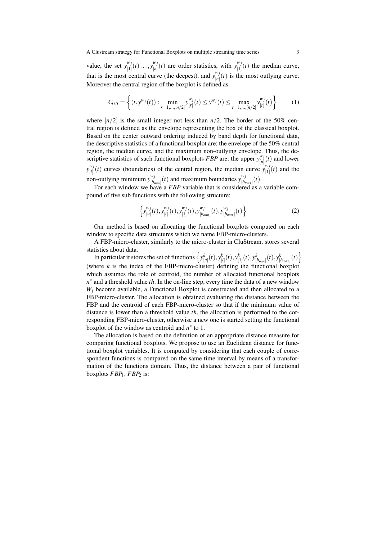A Clustream strategy for Functional Boxplots on multiple streaming time series 3

value, the set  $y_{[1]}^{w_j}$  $\frac{w_j}{[1]}(t) \dots, y_{[n]}^{w_j}$  $\binom{w_j}{[n]}(t)$  are order statistics, with  $y_{[1]}^{w_j}$  $\prod_{[1]}^{w_j}(t)$  the median curve, that is the most central curve (the deepest), and  $y_{[n]}^{w_j}$  $\binom{n}{[n]}(t)$  is the most outlying curve. Moreover the central region of the boxplot is defined as

$$
C_{0.5} = \left\{ (t, y^{w_j}(t)) : \min_{r=1,\dots,[n/2]} y^{w_j}_{[r]}(t) \le y^{w_j}(t) \le \max_{r=1,\dots,[n/2]} y^{w_j}_{[r]}(t) \right\}
$$
(1)

where  $\lfloor n/2 \rfloor$  is the small integer not less than  $n/2$ . The border of the 50% central region is defined as the envelope representing the box of the classical boxplot. Based on the center outward ordering induced by band depth for functional data, the descriptive statistics of a functional boxplot are: the envelope of the 50% central region, the median curve, and the maximum non-outlying envelope. Thus, the descriptive statistics of such functional boxplots *FBP* are: the upper  $y_{[j_l]}^{w_j}$  $\int_{[u]}^{w_j}(t)$  and lower  $y_{[1]}^{w_j}$  $\frac{w_j}{|l|}$  (*t*) curves (boundaries) of the central region, the median curve  $y_{[1]}^{w_j}$  $\binom{n_j}{[1]}(t)$  and the non-outlying minimum  $y_{i}^{w_j}$  $\binom{w_j}{[b_{min}]}(t)$  and maximum boundaries  $y_{[b_i]}^{w_j}$  $\binom{w_j}{[b_{max}]}(t).$ 

For each window we have a *FBP* variable that is considered as a variable compound of five sub functions with the following structure:

$$
\left\{ y_{[u]}^{w_j}(t), y_{[l]}^{w_j}(t), y_{[1]}^{w_j}(t), y_{[b_{min}]}^{w_j}(t), y_{[b_{max}]}^{w_j}(t) \right\}
$$
 (2)

Our method is based on allocating the functional boxplots computed on each window to specific data structures which we name FBP-micro-clusters.

A FBP-micro-cluster, similarly to the micro-cluster in CluStream, stores several statistics about data.

In particular it stores the set of functions  $\left\{y_{[u]}^k(t), y_{[l]}^k(t), y_{[1]}^k(t), y_{[b_{min}]}^k(t), y_{[b_{max}]}^k(t)\right\}$ (where  $k$  is the index of the FBP-micro-cluster) defining the functional boxplot which assumes the role of centroid, the number of allocated functional boxplots *n*<sup>∗</sup> and a threshold value *th*. In the on-line step, every time the data of a new window *W<sup>j</sup>* become available, a Functional Boxplot is constructed and then allocated to a FBP-micro-cluster. The allocation is obtained evaluating the distance between the FBP and the centroid of each FBP-micro-cluster so that if the minimum value of distance is lower than a threshold value *th*, the allocation is performed to the corresponding FBP-micro-cluster, otherwise a new one is started setting the functional boxplot of the window as centroid and *n ∗* to 1.

The allocation is based on the definition of an appropriate distance measure for comparing functional boxplots. We propose to use an Euclidean distance for functional boxplot variables. It is computed by considering that each couple of correspondent functions is compared on the same time interval by means of a transformation of the functions domain. Thus, the distance between a pair of functional boxplots *FBP*1, *FBP*<sup>2</sup> is: